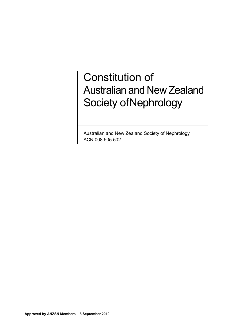# Constitution of Australian and New Zealand Society of Nephrology

Australian and New Zealand Society of Nephrology ACN 008 505 502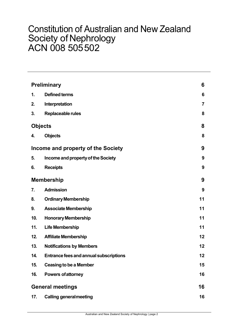# Constitution of Australian and New Zealand Society of Nephrology ACN 008 505502

| <b>Preliminary</b>      |                                               | 6              |
|-------------------------|-----------------------------------------------|----------------|
| 1.                      | <b>Defined terms</b>                          | 6              |
| 2.                      | Interpretation                                | $\overline{7}$ |
| 3.                      | Replaceable rules                             | 8              |
| <b>Objects</b>          |                                               | 8              |
| 4.                      | <b>Objects</b>                                | 8              |
|                         | Income and property of the Society            | 9              |
| 5.                      | Income and property of the Society            | 9              |
| 6.                      | <b>Receipts</b>                               | 9              |
| <b>Membership</b>       |                                               | 9              |
| 7.                      | <b>Admission</b>                              | 9              |
| 8.                      | <b>Ordinary Membership</b>                    | 11             |
| 9.                      | <b>Associate Membership</b>                   | 11             |
| 10.                     | <b>Honorary Membership</b>                    | 11             |
| 11.                     | <b>Life Membership</b>                        | 11             |
| 12.                     | <b>Affiliate Membership</b>                   | 12             |
| 13.                     | <b>Notifications by Members</b>               | 12             |
| 14.                     | <b>Entrance fees and annual subscriptions</b> | 12             |
| 15.                     | <b>Ceasing to be a Member</b>                 | 15             |
| 16.                     | <b>Powers of attorney</b>                     | 16             |
| <b>General meetings</b> |                                               |                |
| 17.                     | <b>Calling general meeting</b>                | 16             |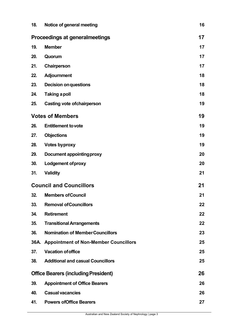| 18.                            | Notice of general meeting                   | 16 |
|--------------------------------|---------------------------------------------|----|
|                                | <b>Proceedings at generalmeetings</b>       | 17 |
| 19.                            | <b>Member</b>                               | 17 |
| 20.                            | Quorum                                      | 17 |
| 21.                            | Chairperson                                 | 17 |
| 22.                            | <b>Adjournment</b>                          | 18 |
| 23.                            | <b>Decision on questions</b>                | 18 |
| 24.                            | <b>Taking a poll</b>                        | 18 |
| 25.                            | <b>Casting vote of chairperson</b>          | 19 |
| <b>Votes of Members</b>        |                                             | 19 |
| 26.                            | <b>Entitlement to vote</b>                  | 19 |
| 27.                            | <b>Objections</b>                           | 19 |
| 28.                            | <b>Votes byproxy</b>                        | 19 |
| 29.                            | Document appointing proxy                   | 20 |
| 30.                            | <b>Lodgement of proxy</b>                   | 20 |
| 31.                            | <b>Validity</b>                             | 21 |
| <b>Council and Councillors</b> |                                             | 21 |
| 32.                            | <b>Members of Council</b>                   | 21 |
| 33.                            | <b>Removal of Councillors</b>               | 22 |
| 34.                            | <b>Retirement</b>                           | 22 |
| 35.                            | <b>Transitional Arrangements</b>            | 22 |
| 36.                            | <b>Nomination of Member Councillors</b>     | 23 |
|                                | 36A. Appointment of Non-Member Councillors  | 25 |
| 37.                            | <b>Vacation of office</b>                   | 25 |
| 38.                            | <b>Additional and casual Councillors</b>    | 25 |
|                                | <b>Office Bearers (including President)</b> | 26 |
| 39.                            | <b>Appointment of Office Bearers</b>        | 26 |
| 40.                            | <b>Casual vacancies</b>                     | 26 |
| 41.                            | <b>Powers of Office Bearers</b>             | 27 |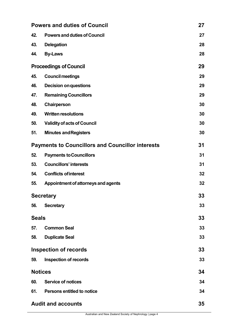| <b>Powers and duties of Council</b>                     |                                     |    |
|---------------------------------------------------------|-------------------------------------|----|
| 42.                                                     | <b>Powers and duties of Council</b> | 27 |
| 43.                                                     | <b>Delegation</b>                   | 28 |
| 44.                                                     | <b>By-Laws</b>                      | 28 |
| <b>Proceedings of Council</b>                           |                                     | 29 |
| 45.                                                     | <b>Council meetings</b>             | 29 |
| 46.                                                     | <b>Decision on questions</b>        | 29 |
| 47.                                                     | <b>Remaining Councillors</b>        | 29 |
| 48.                                                     | Chairperson                         | 30 |
| 49.                                                     | <b>Written resolutions</b>          | 30 |
| 50.                                                     | <b>Validity of acts of Council</b>  | 30 |
| 51.                                                     | <b>Minutes and Registers</b>        | 30 |
| <b>Payments to Councillors and Councillor interests</b> |                                     |    |
| 52.                                                     | <b>Payments to Councillors</b>      | 31 |
| 53.                                                     | <b>Councillors' interests</b>       | 31 |
| 54.                                                     | <b>Conflicts of interest</b>        | 32 |
| 55.                                                     | Appointment of attorneys and agents | 32 |
| <b>Secretary</b>                                        |                                     | 33 |
| 56.                                                     | <b>Secretary</b>                    | 33 |
| <b>Seals</b>                                            |                                     | 33 |
| 57.                                                     | <b>Common Seal</b>                  | 33 |
| 58.                                                     | <b>Duplicate Seal</b>               | 33 |
| <b>Inspection of records</b>                            |                                     | 33 |
| 59.                                                     | <b>Inspection of records</b>        | 33 |
| <b>Notices</b>                                          |                                     | 34 |
| 60.                                                     | <b>Service of notices</b>           | 34 |
| 61.                                                     | <b>Persons entitled to notice</b>   | 34 |
| <b>Audit and accounts</b><br>35                         |                                     |    |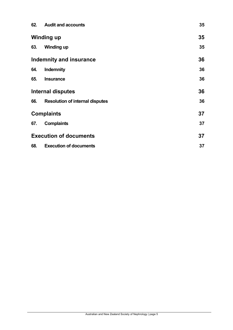|                   | 62. Audit and accounts                 | 35 |
|-------------------|----------------------------------------|----|
|                   | <b>Winding up</b>                      | 35 |
| 63.               | <b>Winding up</b>                      | 35 |
|                   | <b>Indemnity and insurance</b>         | 36 |
| 64.               | Indemnity                              | 36 |
| 65.               | <b>Insurance</b>                       | 36 |
|                   | <b>Internal disputes</b>               | 36 |
| 66.               | <b>Resolution of internal disputes</b> | 36 |
| <b>Complaints</b> |                                        | 37 |
| 67.               | <b>Complaints</b>                      | 37 |
|                   | <b>Execution of documents</b>          | 37 |
| 68.               | <b>Execution of documents</b>          | 37 |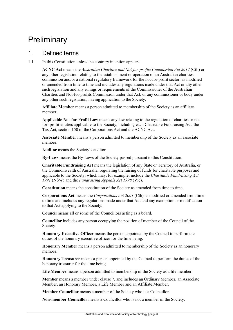# <span id="page-5-0"></span>**Preliminary**

#### <span id="page-5-1"></span>1. Defined terms

1.1 In this Constitution unless the contrary intention appears:

**ACNC Act** means the *Australian Charities and Not-for-profits Commission Act 2012* (Cth) or any other legislation relating to the establishment or operation of an Australian charities commission and/or a national regulatory framework for the not-for-profit sector, as modified or amended from time to time and includes any regulations made under that Act or any other such legislation and any rulings or requirements of the Commissioner of the Australian Charities and Not-for-profits Commission under that Act, or any commissioner or body under any other such legislation, having application to the Society.

**Affiliate Member** means a person admitted to membership of the Society as an affiliate member.

**Applicable Not-for-Profit Law** means any law relating to the regulation of charities or notfor- profit entities applicable to the Society, including each Charitable Fundraising Act, the Tax Act, section 150 of the Corporations Act and the ACNC Act.

**Associate Member** means a person admitted to membership of the Society as an associate member.

**Auditor** means the Society's auditor.

**By-Laws** means the By-Laws of the Society passed pursuant to this Constitution.

**Charitable Fundraising Act** means the legislation of any State or Territory of Australia, or the Commonwealth of Australia, regulating the raising of funds for charitable purposes and applicable to the Society, which may, for example, include the *Charitable Fundraising Act 1991* (NSW) and the *Fundraising Appeals Act 1998* (Vic).

**Constitution** means the constitution of the Society as amended from time to time.

**Corporations Act** means the *Corporations Act 2001* (Cth) as modified or amended from time to time and includes any regulations made under that Act and any exemption or modification to that Act applying to the Society.

**Council** means all or some of the Councillors acting as a board.

**Councillor** includes any person occupying the position of member of the Council of the Society.

**Honorary Executive Officer** means the person appointed by the Council to perform the duties of the honorary executive officer for the time being.

**Honorary Member** means a person admitted to membership of the Society as an honorary member.

**Honorary Treasurer** means a person appointed by the Council to perform the duties of the honorary treasurer for the time being.

**Life Member** means a person admitted to membership of the Society as a life member.

**Member** means a member under clause [7, a](#page-8-4)nd includes an Ordinary Member, an Associate Member, an Honorary Member, a Life Member and an Affiliate Member.

**Member Councillor** means a member of the Society who is a Councillor.

**Non-member Councillor** means a Councillor who is not a member of the Society.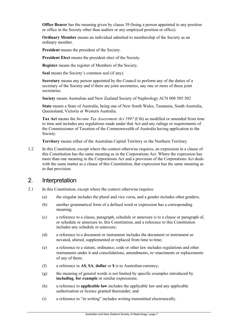**Office Bearer** has the meaning given by clause [39 \(](#page-25-1)being a person appointed to any position or office in the Society other than auditor or any employed position or office).

**Ordinary Member** means an individual admitted to membership of the Society as an ordinary member.

**President** means the president of the Society.

**President Elect** means the president elect of the Society.

**Register** means the register of Members of the Society.

**Seal** means the Society's common seal (if any).

**Secretary** means any person appointed by the Council to perform any of the duties of a secretary of the Society and if there are joint secretaries, any one or more of those joint secretaries.

**Society** means Australian and New Zealand Society of Nephrology ACN 008 505 502

**State** means a State of Australia, being one of New South Wales, Tasmania, South Australia, Queensland, Victoria or Western Australia.

**Tax Act** means the *Income Tax Assessment Act 1997* (Cth) as modified or amended from time to time and includes any regulations made under that Act and any rulings or requirements of the Commissioner of Taxation of the Commonwealth of Australia having application to the Society.

**Territory** means either of the Australian Capital Territory or the Northern Territory.

1.2 In this Constitution, except where the context otherwise requires, an expression in a clause of this Constitution has the same meaning as in the Corporations Act. Where the expression has more than one meaning in the Corporations Act and a provision of the Corporations Act deals with the same matter as a clause of this Constitution, that expression has the same meaning as in that provision.

#### <span id="page-6-0"></span>2. Interpretation

- 2.1 In this Constitution, except where the context otherwise requires:
	- (a) the singular includes the plural and vice versa, and a gender includes other genders;
	- (b) another grammatical form of a defined word or expression has a corresponding meaning;
	- (c) a reference to a clause, paragraph, schedule or annexure is to a clause or paragraph of, or schedule or annexure to, this Constitution, and a reference to this Constitution includes any schedule or annexure;
	- (d) a reference to a document or instrument includes the document or instrument as novated, altered, supplemented or replaced from time to time;
	- (e) a reference to a statute, ordinance, code or other law includes regulations and other instruments under it and consolidations, amendments, re-enactments or replacements of any of them;
	- (f) a reference to **A\$**, **\$A**, **dollar** or **\$** is to Australian currency;
	- (g) the meaning of general words is not limited by specific examples introduced by **including**, **for example** or similar expressions;
	- (h) a reference to **applicable law** includes the applicable law and any applicable authorisation or licence granted thereunder; and
	- (i) a reference to "in writing" includes writing transmitted electronically.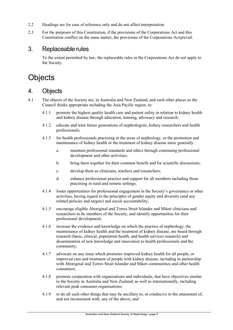- 2.2 Headings are for ease of reference only and do not affect interpretation.
- 2.3 For the purposes of this Constitution, if the provisions of the Corporations Act and this Constitution conflict on the same matter, the provisions of the Corporations Actprevail.

#### <span id="page-7-0"></span>3. Replaceable rules

To the extent permitted by law, the replaceable rules in the Corporations Act do not apply to the Society.

# <span id="page-7-1"></span>**Objects**

# <span id="page-7-2"></span>4. Objects

- 4.1 The objects of the Society are, in Australia and New Zealand, and such other places as the Council thinks appropriate including the Asia Pacific region, to:
	- 4.1.1 promote the highest quality health care and patient safety in relation to kidney health and kidney disease through education, training, advocacy and research;
	- 4.1.2 educate and train future generations of nephrologists, kidney researchers and health professionals;
	- 4.1.3 for health professionals practising in the areas of nephrology, or the promotion and maintenance of kidney health or the treatment of kidney disease more generally:
		- a. maintain professional standards and ethics through continuing professional development and other activities;
		- b. bring them together for their common benefit and for scientific discussions;
		- c. develop them as clinicians, teachers and researchers;
		- d. enhance professional practice and support for all members including those practising in rural and remote settings;
	- 4.1.4 foster opportunities for professional engagement in the Society's governance or other activities, having regard to the principles of gender equity and diversity (and any related policies and targets) and social accountability;
	- 4.1.5 encourage eligible Aboriginal and Torres Strait Islander and Māori clinicians and researchers to be members of the Society, and identify opportunities for their professional development;
	- 4.1.6 increase the evidence and knowledge on which the practice of nephrology, the maintenance of kidney health and the treatment of kidney disease, are based through research (basic, clinical, population health, and health services research) and dissemination of new knowledge and innovation to health professionals and the community;
	- 4.1.7 advocate on any issue which promotes improved kidney health for all people, or improved care and treatment of people with kidney disease, including in partnership with Aboriginal and Torres Strait Islander and Māori communities and other health consumers;
	- 4.1.8 promote cooperation with organisations and individuals, that have objectives similar to the Society in Australia and New Zealand, as well as internationally, including relevant peak consumer organisations;
	- 4.1.9 to do all such other things that may be ancillary to, or conducive to the attainment of, and not inconsistent with, any of the above; and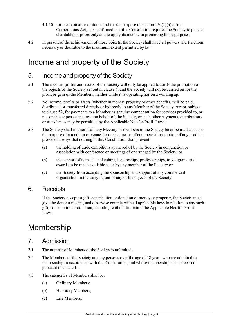- 4.1.10 for the avoidance of doubt and for the purpose of section 150(1)(a) of the Corporations Act, it is confirmed that this Constitution requires the Society to pursue charitable purposes only and to apply its income in promoting those purposes.
- 4.2 In pursuit of the achievement of those objects, the Society shall have all powers and functions necessary or desirable to the maximum extent permitted by law.

# <span id="page-8-0"></span>Income and property of the Society

### <span id="page-8-1"></span>5. Income and property of the Society

- 5.1 The income, profits and assets of the Society will only be applied towards the promotion of the objects of the Society set out in clause [4, a](#page-7-2)nd the Society will not be carried on for the profit or gain of the Members, neither while it is operating nor on a winding up.
- 5.2 No income, profits or assets (whether in money, property or other benefits) will be paid, distributed or transferred directly or indirectly to any Member of the Society except, subject to clause [52, f](#page-30-1)or payments to a Member as genuine compensation for services provided to, or reasonable expenses incurred on behalf of, the Society, or such other payments, distributions or transfers as may be permitted by the Applicable Not-for-Profit Laws.
- 5.3 The Society shall not nor shall any Meeting of members of the Society be or be used as or for the purpose of a medium or venue for or as a means of commercial promotion of any product provided always that nothing in this Constitution shall prevent:
	- (a) the holding of trade exhibitions approved of by the Society in conjunction or association with conference or meetings of or arranged by the Society; or
	- (b) the support of named scholarships, lectureships, professorships, travel grants and awards to be made available to or by any member of the Society; or
	- (c) the Society from accepting the sponsorship and support of any commercial organisation in the carrying out of any of the objects of the Society.

### <span id="page-8-2"></span>6. Receipts

If the Society accepts a gift, contribution or donation of money or property, the Society must give the donor a receipt, and otherwise comply with all applicable laws in relation to any such gift, contribution or donation, including without limitation the Applicable Not-for-Profit Laws.

# <span id="page-8-3"></span>Membership

#### <span id="page-8-4"></span>7. Admission

- 7.1 The number of Members of the Society is unlimited.
- 7.2 The Members of the Society are any persons over the age of 18 years who are admitted to membership in accordance with this Constitution, and whose membership has not ceased pursuant to clause [15.](#page-14-0)
- 7.3 The categories of Members shall be:
	- (a) Ordinary Members;
	- (b) Honorary Members;
	- (c) Life Members;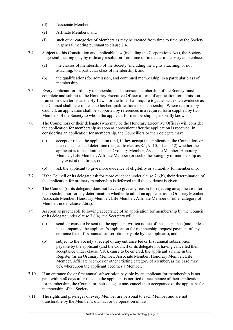- (d) Associate Members;
- (e) Affiliate Members; and
- (f) such other categories of Members as may be created from time to time by the Society in general meeting pursuant to clause [7.4.](#page-9-0)
- <span id="page-9-0"></span>7.4 Subject to this Constitution and applicable law (including the Corporations Act), the Society in general meeting may by ordinary resolution from time to time determine, vary and replace:
	- (a) the classes of membership of the Society (including the rights attaching, or not attaching, to a particular class of membership); and
	- (b) the qualifications for admission, and continued membership, in a particular class of membership.
- 7.5 Every applicant for ordinary membership and associate membership of the Society must complete and submit to the Honorary Executive Officer a form of application for admission framed in such terms as the By-Laws for the time shall require together with such evidence as the Council shall determine as to his/her qualifications for membership. Where required by Council, an application shall be supported by references in a required form supplied by two Members of the Society to whom the applicant for membership is personally known.
- <span id="page-9-2"></span>7.6 The Councillors or their delegate (who may be the Honorary Executive Officer) will consider the application for membership as soon as convenient after the application is received. In considering an application for membership, the Councillors or their delegate may:
	- (a) accept or reject the application (and, if they accept the application, the Councillors or their delegate shall determine (subject to clauses [8.1,](#page-10-4) [9,](#page-10-1) [10,](#page-10-2) [11 a](#page-10-3)nd [12\)](#page-11-3) whether the applicant is to be admitted as an Ordinary Member, Associate Member, Honorary Member, Life Member, Affiliate Member (or such other category of membership as may exist at that time); or
	- (b) ask the applicant to give more evidence of eligibility or suitability formembership.
- <span id="page-9-1"></span>7.7 If the Council or its delegate ask for more evidence under clause [7.6\(b\), t](#page-9-1)heir determination of the application for ordinary membership is deferred until the evidence is given.
- 7.8 The Council (or its delegate) does not have to give any reason for rejecting an application for membership, nor for any determination whether to admit an applicant as an OrdinaryMember, Associate Member, Honorary Member, Life Member, Affiliate Member or other category of Member, under clause [7.6\(a\).](#page-9-2)
- <span id="page-9-4"></span>7.9 As soon as practicable following acceptance of an application for membership by the Council or its delegate under clause [7.6\(a\),](#page-9-2) the Secretary will:
	- (a) send, or cause to be sent to, the applicant written notice of the acceptance (and, unless it accompanied the applicant's application for membership, request payment of any entrance fee or first annual subscription payable by the applicant); and
	- (b) subject to the Society's receipt of any entrance fee or first annual subscription payable by the applicant (and the Council or its delegate not having cancelled their acceptance under clause [7.10\)](#page-9-3), cause to be entered, the applicant's name in the Register (as an Ordinary Member, Associate Member, Honorary Member, Life Member, Affiliate Member or other existing category of Member, as the case may be), whereupon the applicant becomes a Member.
- <span id="page-9-3"></span>7.10 If an entrance fee or first annual subscription payable by an applicant for membership is not paid within 60 days after the date the applicant is notified of acceptance of their application for membership, the Council or their delegate may cancel their acceptance of the applicant for membership of the Society.
- 7.11 The rights and privileges of every Member are personal to each Member and are not transferable by the Member's own act or by operation of law.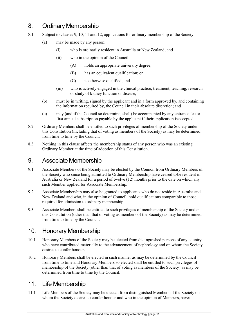# <span id="page-10-0"></span>8. Ordinary Membership

- <span id="page-10-4"></span>8.1 Subject to clauses [9,](#page-10-1) [10,](#page-10-2) [11 a](#page-10-3)nd [12,](#page-11-3) applications for ordinary membership of the Society:
	- (a) may be made by any person:
		- (i) who is ordinarily resident in Australia or New Zealand; and
		- (ii) who in the opinion of the Council:
			- (A) holds an appropriate university degree;
			- (B) has an equivalent qualification; or
			- (C) is otherwise qualified; and
		- (iii) who is actively engaged in the clinical practice, treatment, teaching, research or study of kidney function or disease;
	- (b) must be in writing, signed by the applicant and in a form approved by, and containing the information required by, the Council in their absolute discretion; and
	- (c) may (and if the Council so determine, shall) be accompanied by any entrance fee or first annual subscription payable by the applicant if their application is accepted.
- <span id="page-10-5"></span>8.2 Ordinary Members shall be entitled to such privileges of membership of the Society under this Constitution (including that of voting as members of the Society) as may be determined from time to time by the Council.
- 8.3 Nothing in this clause affects the membership status of any person who was an existing Ordinary Member at the time of adoption of this Constitution.

### <span id="page-10-1"></span>9. Associate Membership

- 9.1 Associate Members of the Society may be elected by the Council from Ordinary Members of the Society who since being admitted to Ordinary Membership have ceased tobe resident in Australia or New Zealand for a period of twelve (12) months prior to the date on which any such Member applied for Associate Membership.
- 9.2 Associate Membership may also be granted to applicants who do not reside in Australia and New Zealand and who, in the opinion of Council, hold qualifications comparable to those required for admission to ordinary membership.
- 9.3 Associate Members shall be entitled to such privileges of membership of the Society under this Constitution (other than that of voting as members of the Society) as may be determined from time to time by the Council.

### <span id="page-10-2"></span>10. Honorary Membership

- 10.1 Honorary Members of the Society may be elected from distinguished persons of any country who have contributed materially to the advancement of nephrology and on whom the Society desires to confer honour.
- 10.2 Honorary Members shall be elected in such manner as may be determined by the Council from time to time and Honorary Members so elected shall be entitled to such privileges of membership of the Society (other than that of voting as members of the Society) as may be determined from time to time by the Council.

### <span id="page-10-3"></span>11. Life Membership

11.1 Life Members of the Society may be elected from distinguished Members of the Society on whom the Society desires to confer honour and who in the opinion of Members, have: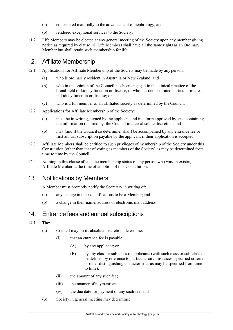- (a) contributed materially to the advancement of nephrology; and
- <span id="page-11-3"></span>(b) rendered exceptional services to the Society.
- 11.2 Life Members may be elected at any general meeting of the Society upon any member giving notice as required by clause [18.](#page-15-3) Life Members shall have all the same rights as an Ordinary Member but shall retain such membership for life.

# <span id="page-11-0"></span>12. Affiliate Membership

- 12.1 Applications for Affiliate Membership of the Society may be made by any person:
	- (a) who is ordinarily resident in Australia or New Zealand; and
	- (b) who in the opinion of the Council has been engaged in the clinical practice of the broad field of kidney function or disease, or who has demonstrated particular interest in kidney function or disease; or
	- (c) who is a full member of an affiliated society as determined by the Council.
- 12.2 Applications for Affiliate Membership of the Society:
	- (a) must be in writing, signed by the applicant and in a form approved by, and containing the information required by, the Council in their absolute discretion; and
	- (b) may (and if the Council so determine, shall) be accompanied by any entrance fee or first annual subscription payable by the applicant if their application is accepted.
- 12.3 Affiliate Members shall be entitled to such privileges of membership of the Society under this Constitution (other than that of voting as members of the Society) as may be determined from time to time by the Council.
- 12.4 Nothing in this clause affects the membership status of any person who was an existing Affiliate Member at the time of adoption of this Constitution.

# <span id="page-11-1"></span>13. Notifications by Members

A Member must promptly notify the Secretary in writing of:

- (a) any change in their qualifications to be a Member; and
- (b) a change in their name, address or electronic mail address.

### <span id="page-11-2"></span>14. Entrance fees and annual subscriptions

- <span id="page-11-5"></span><span id="page-11-4"></span>14.1 The:
	- (a) Council may, in its absolute discretion, determine:
		- (i) that an entrance fee is payable:
			- (A) by any applicant; or
			- (B) by any class or sub-class of applicants (with such class or sub-class to be defined by reference to particular circumstances, specified criteria or other distinguishing characteristics as may be specified from time to time);
		- (ii) the amount of any such fee;
		- (iii) the manner of payment; and
		- (iv) the due date for payment of any such fee; and
	- (b) Society in general meeting may determine: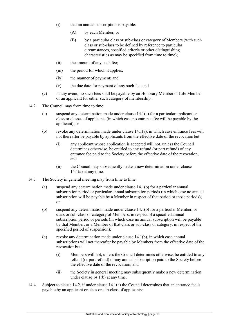- (i) that an annual subscription is payable:
	- (A) by each Member; or
	- (B) by a particular class or sub-class or category of Members (with such class or sub-class to be defined by reference to particular circumstances, specified criteria or other distinguishing characteristics as may be specified from time to time);
- (ii) the amount of any such fee;
- (iii) the period for which it applies;
- (iv) the manner of payment; and
- (v) the due date for payment of any such fee; and
- (c) in any event, no such fees shall be payable by an Honorary Member or Life Member or an applicant for either such category of membership.
- <span id="page-12-0"></span>14.2 The Council may from time to time:
	- (a) suspend any determination made under clause [14.1\(a\) f](#page-11-4)or a particular applicant or class or classes of applicants (in which case no entrance fee will be payable by the applicant); or
	- (b) revoke any determination made under clause [14.1\(a\),](#page-11-4) in which case entrance fees will not thereafter be payable by applicants from the effective date of the revocation but:
		- (i) any applicant whose application is accepted will not, unless the Council determines otherwise, be entitled to any refund (or part refund) of any entrance fee paid to the Society before the effective date of the revocation; and
		- (ii) the Council may subsequently make a new determination under clause  $14.1(a)$  at any time.
- <span id="page-12-1"></span>14.3 The Society in general meeting may from time to time:
	- (a) suspend any determination made under clause [14.1\(b\) f](#page-11-5)or a particular annual subscription period or particular annual subscription periods (in which case no annual subscription will be payable by a Member in respect of that period or those periods); or
	- (b) suspend any determination made under clause [14.1\(b\) f](#page-11-5)or a particular Member, or class or sub-class or category of Members, in respect of a specified annual subscription period or periods (in which case no annual subscription will be payable by that Member, or a Member of that class or sub-class or category, in respect of the specified period of suspension);
	- (c) revoke any determination made under clause [14.1\(b\),](#page-11-5) in which case annual subscriptions will not thereafter be payable by Members from the effective date of the revocation but:
		- (i) Members will not, unless the Council determines otherwise, be entitled to any refund (or part refund) of any annual subscription paid to the Society before the effective date of the revocation; and
		- (ii) the Society in general meeting may subsequently make a new determination under clause [14.1\(b\) a](#page-11-5)t any time.
- 14.4 Subject to clause [14.2, i](#page-12-0)f under clause [14.1\(a\) t](#page-11-4)he Council determines that an entrance fee is payable by an applicant or class or sub-class of applicants: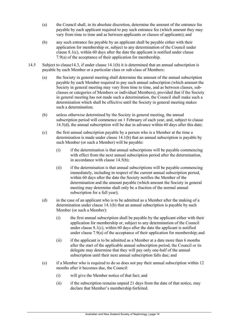- (a) the Council shall, in its absolute discretion, determine the amount of the entrance fee payable by each applicant required to pay such entrance fee (which amount they may vary from time to time and as between applicants or classes of applicants); and
- (b) any such entrance fee payable by an applicant shall be payable either with their application for membership or, subject to any determination of the Council under clause [8.1\(c\), w](#page-10-5)ithin 60 days after the date the applicant is notified under clause [7.9\(a\) o](#page-9-4)f the acceptance of their application for membership.
- <span id="page-13-2"></span><span id="page-13-1"></span><span id="page-13-0"></span>14.5 Subject to claus[e14.3,](#page-12-1) if under clause [14.1\(b\) i](#page-11-5)t is determined that an annual subscription is payable by each Member or a particular class or sub-class of Members:
	- (a) the Society in general meeting shall determine the amount of the annual subscription payable by each Member required to pay such annual subscription (which amount the Society in general meeting may vary from time to time, and as between classes, subclasses or categories of Members or individual Members), provided that if the Society in general meeting has not made such a determination, the Council shall make such a determination which shall be effective until the Society in general meeting makes such a determination;
	- (b) unless otherwise determined by the Society in general meeting, the annual subscription period will commence on 1 February of each year, and, subject to clause [14.5\(d\),](#page-13-0) the annual subscription will be due in advance within 60 days after this date;
	- (c) the first annual subscription payable by a person who is a Member at the time a determination is made under clause [14.1\(b\) t](#page-11-5)hat an annual subscription is payable by such Member (or such a Member) will be payable:
		- (i) if the determination is that annual subscriptions will be payable commencing with effect from the next annual subscription period after the determination, in accordance with clause [14.5\(b\);](#page-13-0)
		- (ii) if the determination is that annual subscriptions will be payable commencing immediately, including in respect of the current annual subscription period, within 60 days after the date the Society notifies the Member of the determination and the amount payable (which amount the Society in general meeting may determine shall only be a fraction of the normal annual subscription for a full year);
	- (d) in the case of an applicant who is to be admitted as a Member after the making of a determination under clause [14.1\(b\) t](#page-11-5)hat an annual subscription is payable by such Member (or such a Member):
		- (i) the first annual subscription shall be payable by the applicant either with their application for membership or, subject to any determination of the Council under clause [8.1\(c\), w](#page-10-5)ithin 60 days after the date the applicant is notified under clause [7.9\(a\) o](#page-9-4)f the acceptance of their application for membership; and
		- (ii) if the applicant is to be admitted as a Member at a date more than 6 months after the start of the applicable annual subscription period, the Council or its delegate may determine that they will pay only one-half of the annual subscription until their next annual subscription falls due; and
	- (e) if a Member who is required to do so does not pay their annual subscription within 12 months after it becomes due, the Council:
		- (i) will give the Member notice of that fact; and
		- (ii) if the subscription remains unpaid 21 days from the date of that notice, may declare that Member's membership forfeited.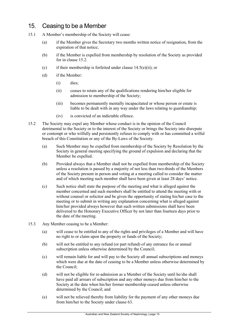# <span id="page-14-0"></span>15. Ceasing to be a Member

- <span id="page-14-2"></span>15.1 A Member's membership of the Society will cease:
	- (a) if the Member gives the Secretary two months written notice of resignation, from the expiration of that notice;
	- (b) if the Member is expelled from membership by resolution of the Society as provided for in clause [15.2.](#page-14-1)
	- (c) if their membership is forfeited under clause  $14.5(e)(ii)$ ; or
	- (d) if the Member:
		- (i) dies;
		- (ii) ceases to retain any of the qualifications rendering him/her eligible for admission to membership of the Society;
		- (iii) becomes permanently mentally incapacitated or whose person or estate is liable to be dealt with in any way under the laws relating to guardianship;
		- (iv) is convicted of an indictable offence.
- <span id="page-14-1"></span>15.2 The Society may expel any Member whose conduct is in the opinion of the Council detrimental to the Society or to the interest of the Society or brings the Society into disrepute or contempt or who wilfully and persistently refuses to comply with or has committed a wilful breach of this Constitution or any of the By-Laws of the Society.
	- (a) Such Member may be expelled from membership of the Society by Resolution by the Society in general meeting specifying the ground of expulsion and declaring that the Member be expelled.
	- (b) Provided always that a Member shall not be expelled from membership of the Society unless a resolution is passed by a majority of not less than two-thirds of the Members of the Society present in person and voting at a meeting called to consider the matter and of which meeting such member shall have been given at least 28 days' notice.
	- (c) Such notice shall state the purpose of the meeting and what is alleged against the member concerned and such members shall be entitled to attend the meeting with or without counsel or solicitor and be given the opportunity of stating his/her case to the meeting or to submit in writing any explanation concerning what is alleged against him/her provided always however that such written submissions shall have been delivered to the Honorary Executive Officer by not later than fourteen days prior to the date of the meeting.
- 15.3 Any Member ceasing to be a Member:
	- (a) will cease to be entitled to any of the rights and privileges of a Member and will have no right to or claim upon the property or funds of the Society;
	- (b) will not be entitled to any refund (or part refund) of any entrance fee or annual subscription unless otherwise determined by the Council;
	- (c) will remain liable for and will pay to the Society all annual subscriptions and moneys which were due at the date of ceasing to be a Member unless otherwise determined by the Council;
	- (d) will not be eligible for re-admission as a Member of the Society until he/she shall have paid all arrears of subscription and any other moneys due from him/her to the Society at the date when his/her former membership ceased unless otherwise determined by the Council; and
	- (e) will not be relieved thereby from liability for the payment of any other moneys due from him/her to the Society under clause [63.](#page-34-3)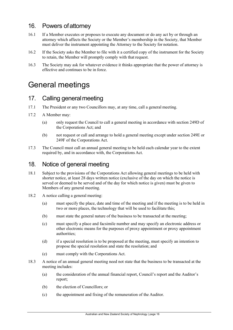# <span id="page-15-0"></span>16. Powers ofattorney

- 16.1 If a Member executes or proposes to execute any document or do any act by or through an attorney which affects the Society or the Member's membership in the Society, that Member must deliver the instrument appointing the Attorney to the Society for notation.
- 16.2 If the Society asks the Member to file with it a certified copy of the instrument for the Society to retain, the Member will promptly comply with that request.
- 16.3 The Society may ask for whatever evidence it thinks appropriate that the power of attorney is effective and continues to be in force.

# <span id="page-15-1"></span>General meetings

# <span id="page-15-2"></span>17. Calling generalmeeting

- 17.1 The President or any two Councillors may, at any time, call a general meeting.
- <span id="page-15-4"></span>17.2 A Member may:
	- (a) only request the Council to call a general meeting in accordance with section 249D of the Corporations Act; and
	- (b) not request or call and arrange to hold a general meeting except under section 249E or 249F of the Corporations Act.
- 17.3 The Council must call an annual general meeting to be held each calendar year to the extent required by, and in accordance with, the Corporations Act.

#### <span id="page-15-3"></span>18. Notice of general meeting

- <span id="page-15-5"></span>18.1 Subject to the provisions of the Corporations Act allowing general meetings to be held with shorter notice, at least 28 days written notice (exclusive of the day on which the notice is served or deemed to be served and of the day for which notice is given) must be given to Members of any general meeting.
- 18.2 A notice calling a general meeting:
	- (a) must specify the place, date and time of the meeting and if the meeting is to be held in two or more places, the technology that will be used to facilitate this;
	- (b) must state the general nature of the business to be transacted at the meeting;
	- (c) must specify a place and facsimile number and may specify an electronic address or other electronic means for the purposes of proxy appointment or proxy appointment authorities;
	- (d) if a special resolution is to be proposed at the meeting, must specify an intention to propose the special resolution and state the resolution; and
	- (e) must comply with the Corporations Act.
- 18.3 A notice of an annual general meeting need not state that the business to be transacted at the meeting includes:
	- (a) the consideration of the annual financial report, Council's report and the Auditor's report;
	- (b) the election of Councillors; or
	- (c) the appointment and fixing of the remuneration of the Auditor.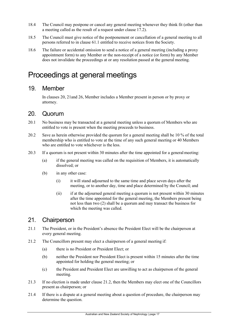- 18.4 The Council may postpone or cancel any general meeting whenever they think fit (other than a meeting called as the result of a request under clause [17.2\)](#page-15-4).
- 18.5 The Council must give notice of the postponement or cancellation of a general meeting to all persons referred to in clause [61.1 e](#page-33-3)ntitled to receive notices from the Society.
- 18.6 The failure or accidental omission to send a notice of a general meeting (including a proxy appointment form) to any Member or the non-receipt of a notice (or form) by any Member does not invalidate the proceedings at or any resolution passed at the general meeting.

# <span id="page-16-0"></span>Proceedings at general meetings

#### <span id="page-16-1"></span>19. Member

In clauses [20,](#page-16-2) [21a](#page-16-3)nd [26, M](#page-18-2)ember includes a Member present in person or by proxy or attorney.

#### <span id="page-16-2"></span>20. Quorum

- 20.1 No business may be transacted at a general meeting unless a quorum of Members who are entitled to vote is present when the meeting proceeds to business.
- 20.2 Save as herein otherwise provided the quorum for a general meeting shall be 10 % of the total membership who is entitled to vote at the time of any such general meeting or 40 Members who are entitled to vote whichever is the less.
- 20.3 If a quorum is not present within 30 minutes after the time appointed for a general meeting:
	- (a) if the general meeting was called on the requisition of Members, it is automatically dissolved; or
	- (b) in any other case:
		- (i) it will stand adjourned to the same time and place seven days after the meeting, or to another day, time and place determined by the Council; and
		- (ii) if at the adjourned general meeting a quorum is not present within 30 minutes after the time appointed for the general meeting, the Members present being not less than two (2) shall be a quorum and may transact the business for which the meeting was called.

#### <span id="page-16-3"></span>21. Chairperson

- 21.1 The President, or in the President's absence the President Elect will be the chairperson at every general meeting.
- <span id="page-16-4"></span>21.2 The Councillors present may elect a chairperson of a general meeting if:
	- (a) there is no President or President Elect; or
	- (b) neither the President nor President Elect is present within 15 minutes after the time appointed for holding the general meeting; or
	- (c) the President and President Elect are unwilling to act as chairperson of the general meeting.
- 21.3 If no election is made under clause [21.2, t](#page-16-4)hen the Members may elect one of the Councillors present as chairperson; or
- 21.4 If there is a dispute at a general meeting about a question of procedure, the chairperson may determine the question.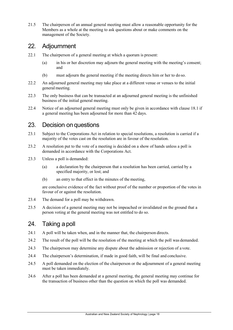21.5 The chairperson of an annual general meeting must allow a reasonable opportunity for the Members as a whole at the meeting to ask questions about or make comments on the management of the Society.

# <span id="page-17-0"></span>22. Adjournment

- 22.1 The chairperson of a general meeting at which a quorum is present:
	- (a) in his or her discretion may adjourn the general meeting with the meeting's consent; and
	- (b) must adjourn the general meeting if the meeting directs him or her to do so.
- 22.2 An adjourned general meeting may take place at a different venue or venues to the initial general meeting.
- 22.3 The only business that can be transacted at an adjourned general meeting is the unfinished business of the initial general meeting.
- 22.4 Notice of an adjourned general meeting must only be given in accordance with clause [18.1 i](#page-15-5)f a general meeting has been adjourned for more than 42 days.

#### <span id="page-17-1"></span>23. Decision on questions

- 23.1 Subject to the Corporations Act in relation to special resolutions, a resolution is carried if a majority of the votes cast on the resolution are in favour of the resolution.
- 23.2 A resolution put to the vote of a meeting is decided on a show of hands unless a poll is demanded in accordance with the Corporations Act.
- 23.3 Unless a poll is demanded:
	- (a) a declaration by the chairperson that a resolution has been carried, carried by a specified majority, or lost; and
	- (b) an entry to that effect in the minutes of the meeting,

are conclusive evidence of the fact without proof of the number or proportion of the votes in favour of or against the resolution.

- 23.4 The demand for a poll may be withdrawn.
- 23.5 A decision of a general meeting may not be impeached or invalidated on the ground that a person voting at the general meeting was not entitled to do so.

### <span id="page-17-2"></span>24. Taking a poll

- 24.1 A poll will be taken when, and in the manner that, the chairperson directs.
- 24.2 The result of the poll will be the resolution of the meeting at which the poll was demanded.
- 24.3 The chairperson may determine any dispute about the admission or rejection of a vote.
- 24.4 The chairperson's determination, if made in good faith, will be final and conclusive.
- 24.5 A poll demanded on the election of the chairperson or the adjournment of a general meeting must be taken immediately.
- 24.6 After a poll has been demanded at a general meeting, the general meeting may continue for the transaction of business other than the question on which the poll was demanded.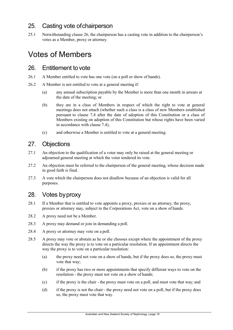# <span id="page-18-0"></span>25. Casting vote ofchairperson

25.1 Notwithstanding clause [26,](#page-18-2) the chairperson has a casting vote in addition to the chairperson's votes as a Member, proxy or attorney.

# <span id="page-18-1"></span>Votes of Members

#### <span id="page-18-2"></span>26. Entitlement tovote

- 26.1 A Member entitled to vote has one vote (on a poll or show of hands).
- 26.2 A Member is not entitled to vote at a general meeting if:
	- (a) any annual subscription payable by the Member is more than one month in arrears at the date of the meeting; or
	- (b) they are in a class of Members in respect of which the right to vote at general meetings does not attach (whether such a class is a class of new Members established pursuant to clause [7.4 a](#page-9-0)fter the date of adoption of this Constitution or a class of Members existing on adoption of this Constitution but whose rights have been varied in accordance with clause [7.4\)](#page-9-0),
	- (c) and otherwise a Member is entitled to vote at a general meeting.

# <span id="page-18-3"></span>27. Objections

- 27.1 An objection to the qualification of a voter may only be raised at the general meeting or adjourned general meeting at which the voter tendered its vote.
- 27.2 An objection must be referred to the chairperson of the general meeting, whose decision made in good faith is final.
- 27.3 A vote which the chairperson does not disallow because of an objection is valid for all purposes.

### <span id="page-18-4"></span>28. Votes byproxy

- 28.1 If a Member that is entitled to vote appoints a proxy, proxies or an attorney, the proxy, proxies or attorney may, subject to the Corporations Act, vote on a show of hands.
- 28.2 A proxy need not be a Member.
- 28.3 A proxy may demand or join in demanding a poll.
- 28.4 A proxy or attorney may vote on a poll.
- 28.5 A proxy may vote or abstain as he or she chooses except where the appointment of the proxy directs the way the proxy is to vote on a particular resolution. If an appointment directs the way the proxy is to vote on a particular resolution:
	- (a) the proxy need not vote on a show of hands, but if the proxy does so, the proxy must vote that way;
	- (b) if the proxy has two or more appointments that specify different ways to vote on the resolution - the proxy must not vote on a show of hands;
	- (c) if the proxy is the chair the proxy must vote on a poll, and must vote that way; and
	- (d) if the proxy is not the chair the proxy need not vote on a poll, but if the proxy does so, the proxy must vote that way.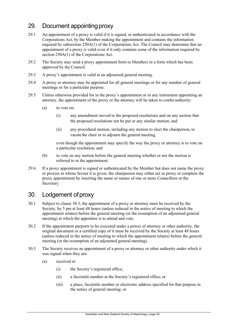# <span id="page-19-0"></span>29. Document appointing proxy

- 29.1 An appointment of a proxy is valid if it is signed, or authenticated in accordance with the Corporations Act, by the Member making the appointment and contains the information required by subsection 250A(1) of the Corporations Act. The Council may determine that an appointment of a proxy is valid even if it only contains some of the information required by section 250A(1) of the Corporations Act.
- 29.2 The Society may send a proxy appointment form to Members in a form which has been approved by the Council.
- 29.3 A proxy's appointment is valid at an adjourned general meeting.
- 29.4 A proxy or attorney may be appointed for all general meetings or for any number of general meetings or for a particular purpose.
- 29.5 Unless otherwise provided for in the proxy's appointment or in any instrument appointing an attorney, the appointment of the proxy or the attorney will be taken to confer authority:
	- (a) to vote on:
		- (i) any amendment moved to the proposed resolutions and on any motion that the proposed resolutions not be put or any similar motion; and
		- (ii) any procedural motion, including any motion to elect the chairperson, to vacate the chair or to adjourn the general meeting,

even though the appointment may specify the way the proxy or attorney is to vote on a particular resolution; and

- (b) to vote on any motion before the general meeting whether or not the motion is referred to in the appointment.
- 29.6 If a proxy appointment is signed or authenticated by the Member but does not name the proxy or proxies in whose favour it is given, the chairperson may either act as proxy or complete the proxy appointment by inserting the name or names of one or more Councillors or the Secretary.

# <span id="page-19-1"></span>30. Lodgement of proxy

- 30.1 Subject to clause [30.3, t](#page-19-2)he appointment of a proxy or attorney must be received by the Society, by 5 pm at least 48 hours (unless reduced in the notice of meeting to which the appointment relates) before the general meeting (or the resumption of an adjourned general meeting) at which the appointee is to attend and vote.
- 30.2 If the appointment purports to be executed under a power of attorney or other authority, the original document or a certified copy of it must be received by the Society at least 48 hours (unless reduced in the notice of meeting to which the appointment relates) before the general meeting (or the resumption of an adjourned general meeting).
- <span id="page-19-2"></span>30.3 The Society receives an appointment of a proxy or attorney or other authority under which it was signed when they are:
	- (a) received at:
		- (i) the Society's registered office;
		- (ii) a facsimile number at the Society's registered office; or
		- (iii) a place, facsimile number or electronic address specified for that purpose in the notice of general meeting; or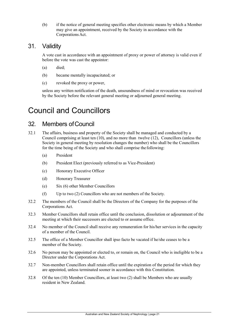(b) if the notice of general meeting specifies other electronic means by which a Member may give an appointment, received by the Society in accordance with the Corporations Act.

### <span id="page-20-0"></span>31. Validity

A vote cast in accordance with an appointment of proxy or power of attorney is valid even if before the vote was cast the appointor:

- (a) died;
- (b) became mentally incapacitated; or
- (c) revoked the proxy or power,

unless any written notification of the death, unsoundness of mind or revocation was received by the Society before the relevant general meeting or adjourned general meeting.

# <span id="page-20-1"></span>Council and Councillors

# <span id="page-20-2"></span>32. Members ofCouncil

- 32.1 The affairs, business and property of the Society shall be managed and conducted by a Council comprising at least ten (10), and no more than twelve (12), Councillors (unless the Society in general meeting by resolution changes the number) who shall be the Councillors for the time being of the Society and who shall comprise the following:
	- (a) President
	- (b) President Elect (previously referred to as Vice-President)
	- (c) Honorary Executive Officer
	- (d) Honorary Treasurer
	- (e) Six (6) other Member Councillors
	- (f) Up to two (2) Councillors who are not members of the Society.
- 32.2 The members of the Council shall be the Directors of the Company for the purposes of the Corporations Act.
- 32.3 Member Councillors shall retain office until the conclusion, dissolution or adjournment of the meeting at which their successors are elected to or assume office.
- 32.4 No member of the Council shall receive any remuneration for his/her services in the capacity of a member of the Council.
- 32.5 The office of a Member Councillor shall ipso facto be vacated if he/she ceases to be a member of the Society.
- 32.6 No person may be appointed or elected to, or remain on, the Council who is ineligible to be a Director under the Corporations Act.
- 32.7 Non-member Councillors shall retain office until the expiration of the period for which they are appointed, unless terminated sooner in accordance with this Constitution.
- 32.8 Of the ten (10) Member Councillors, at least two (2) shall be Members who are usually resident in New Zealand.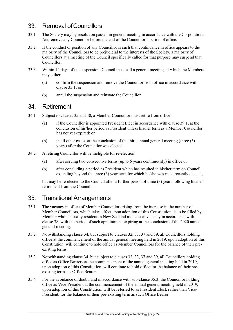# <span id="page-21-0"></span>33. Removal ofCouncillors

- <span id="page-21-3"></span>33.1 The Society may by resolution passed in general meeting in accordance with the Corporations Act remove any Councillor before the end of the Councillor's period of office.
- 33.2 If the conduct or position of any Councillor is such that continuance in office appears to the majority of the Councillors to be prejudicial to the interests of the Society, a majority of Councillors at a meeting of the Council specifically called for that purpose may suspend that Councillor.
- 33.3 Within 14 days of the suspension, Council must call a general meeting, at which the Members may either:
	- (a) confirm the suspension and remove the Councillor from office in accordance with clause [33.1;](#page-21-3) or
	- (b) annul the suspension and reinstate the Councillor.

#### <span id="page-21-1"></span>34. Retirement

- 34.1 Subject to clauses [35 a](#page-21-2)nd [40, a](#page-25-2) Member Councillor must retire from office:
	- (a) if the Councillor is appointed President Elect in accordance with clause [39.1,](#page-25-3) at the conclusion of his/her period as President unless his/her term as a Member Councillor has not yet expired; or
	- (b) in all other cases, at the conclusion of the third annual general meeting (three (3) years) after the Councillor was elected.
- 34.2 A retiring Councillor will be ineligible for re-election:
	- (a) after serving two consecutive terms (up to 6 years continuously) in office or
	- (b) after concluding a period as President which has resulted in his/her term on Council extending beyond the three (3) year term for which he/she was most recently elected,

but may be re-elected to the Council after a further period of three (3) years following his/her retirement from the Council.

### <span id="page-21-2"></span>35. Transitional Arrangements

- 35.1 The vacancy in office of Member Councillor arising from the increase in the number of Member Councillors, which takes effect upon adoption of this Constitution, is to be filled by a Member who is usually resident in New Zealand as a casual vacancy in accordance with clause 38, with the period of such appointment expiring at the conclusion of the 2020 annual general meeting.
- 35.2 Notwithstanding clause 34, but subject to clauses 32, 33, 37 and 39, all Councillors holding office at the commencement of the annual general meeting held in 2019, upon adoption of this Constitution, will continue to hold office as Member Councillors for the balance of their preexisting terms.
- 35.3 Notwithstanding clause 34, but subject to clauses 32, 33, 37 and 39, all Councillors holding office as Office Bearers at the commencement of the annual general meeting held in 2019, upon adoption of this Constitution, will continue to hold office for the balance of their preexisting terms as Office Bearers.
- 35.4 For the avoidance of doubt, and in accordance with sub-clause 35.3, the Councillor holding office as Vice-President at the commencement of the annual general meeting held in 2019, upon adoption of this Constitution, will be referred to as President Elect, rather than Vice-President, for the balance of their pre-existing term as such Office Bearer.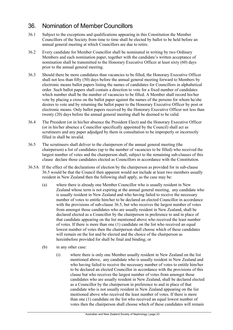# <span id="page-22-0"></span>36. Nomination of MemberCouncillors

- 36.1 Subject to the exceptions and qualifications appearing in this Constitution the Member Councillors of the Society from time to time shall be elected by ballot to be held before an annual general meeting at which Councillors are due to retire.
- 36.2 Every candidate for Member Councillor shall be nominated in writing by two Ordinary Members and each nomination paper, together with the candidate's written acceptance of nomination shall be transmitted to the Honorary Executive Officer at least sixty (60) days prior to the annual general meeting.
- 36.3 Should there be more candidates than vacancies to be filled, the Honorary Executive Officer shall not less than fifty (50) days before the annual general meeting forward to Members by electronic means ballot papers listing the names of candidates for Councillors in alphabetical order. Such ballot papers shall contain a direction to vote for a fixed number of candidates which number shall be the number of vacancies to be filled. A Member shall record his/her vote by placing a cross on the ballot paper against the names of the persons for whom he/she desires to vote and by returning the ballot paper to the Honorary Executive Officer by post or electronic means. Only ballot papers received by the Honorary Executive Officer not less than twenty (20) days before the annual general meeting shall be deemed to be valid.
- 36.4 The President (or in his/her absence the President Elect) and the Honorary Executive Officer (or in his/her absence a Councillor specifically appointed by the Council) shall act as scrutineers and any paper adjudged by them in consultation to be improperly or incorrectly filled in shall be invalid.
- 36.5 The scrutineers shall deliver to the chairperson of the annual general meeting (the chairperson) a list of candidates (up to the number of vacancies to be filled) who received the largest number of votes and the chairperson shall, subject to the remaining sub-clauses of this clause declare those candidates elected as Councillors in accordance with the Constitution.
- 36.5A If the effect of the declarations of election by the chairperson as provided for in sub-clause 36.5 would be that the Council then apparent would not include at least two members usually resident in New Zealand then the following shall apply, as the case may be:
	- (a) where there is already one Member Councillor who is usually resident in New Zealand whose term is not expiring at the annual general meeting, any candidate who is usually resident in New Zealand and who having failed to receive the necessary number of votes to entitle him/her to be declared an elected Councillor in accordance with the provisions of sub-clause 36.5, but who receives the largest number of votes from amongst those candidates who are usually resident in New Zealand, shall be declared elected as a Councillor by the chairperson in preference to and in place of that candidate appearing on the list mentioned above who received the least number of votes. If there is more than one (1) candidate on the list who received an equal lowest number of votes then the chairperson shall choose which of these candidates will remain on the list and be elected and the choice of the chairperson as hereinbefore provided for shall be final and binding; or
	- (b) in any other case:
		- (i) where there is only one Member usually resident in New Zealand on the list mentioned above, any candidate who is usually resident in New Zealand and who having failed to receive the necessary number of votes to entitle him/her to be declared an elected Councillor in accordance with the provisions of this clause but who receives the largest number of votes from amongst those candidates who are usually resident in New Zealand, shall be declared elected as a Councillor by the chairperson in preference to and in place of that candidate who is not usually resident in New Zealand appearing on the list mentioned above who received the least number of votes. If there is more than one (1) candidate on the list who received an equal lowest number of votes then the chairperson shall choose which of these candidates will remain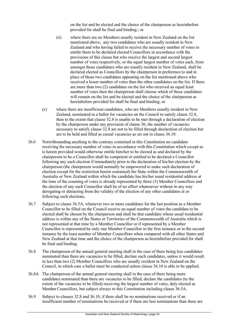on the list and be elected and the choice of the chairperson as hereinbefore provided for shall be final and binding.; or

- (ii) where there are no Members usually resident in New Zealand on the list mentioned above, any two candidates who are usually resident in New Zealand and who having failed to receive the necessary number of votes to entitle them to be declared elected Councillors in accordance with the provisions of this clause but who receive the largest and second largest number of votes respectively, or the equal largest number of votes each, from amongst those candidates who are usually resident in New Zealand, shall be declared elected as Councillors by the chairperson in preference to and in place of those two candidates appearing on the list mentioned above who received a lesser number of votes than the other candidates on the list. If there are more than two (2) candidates on the list who received an equal least number of votes then the chairperson shall choose which of these candidates will remain on the list and be elected and the choice of the chairperson as hereinbefore provided for shall be final and binding; or
- (c) where there are insufficient candidates, who are Members usually resident in New Zealand, nominated in a ballot for vacancies on the Council to satisfy clause 32.8, then to the extent that clause 32.8 is unable to be met through a declaration of election by the chairperson under any provision of clause 36, the number of vacancies necessary to satisfy clause 32.8 are not to be filled through declaration of election but are to be held and filled as casual vacancies as set out in clause 36.10.
- 36.6 Notwithstanding anything to the contrary contained in this Constitution no candidate receiving the necessary number of votes in accordance with this Constitution which except as is herein provided would otherwise entitle him/her to be elected as and declared by the chairperson to be a Councillor shall be competent or entitled to be declared a Councillor following any such election if immediately prior to the declaration of his/her election by the chairperson (the chairperson would normally be empowered to make such declaration of election except for the restriction herein contained) the State within the Commonwealth of Australia or New Zealand within which the candidate has his/her usual residential address at the time of the counting of votes is already represented by three (3) Member Councillors and the election of any such Councillor shall be of no effect whatsoever without in any way derogating or detracting from the validity of the election of any other candidates at or following such elections.
- 36.7 Subject to clause 36.5A, whenever two or more candidates for the last position as a Member Councillor to be filled on the Council receive an equal number of votes the candidate to be elected shall be chosen by the chairperson and shall be that candidate whose usual residential address is within any of the States or Territories of the Commonwealth of Australia which is not represented at that time by a Member Councillor or if represented by a Member Councillor is represented by only one Member Councillor in the first instance or in the second instance by the least number of Member Councillors when compared with all other States and New Zealand at that time and the choice of the chairperson as hereinbefore provided for shall be final and binding.
- 36.8 The chairperson of the annual general meeting shall in the case of there being less candidates nominated than there are vacancies to be filled, declare such candidates, unless it would result in less than two (2) Member Councillors who are usually resident in New Zealand on the Council, in which case a ballot must be conducted unless clause 36.10 is able to be applied.
- 36.8A The chairperson of the annual general meeting shall in the case of there being more candidates nominated than there are vacancies to be filled, declare the candidates (to the extent of the vacancies to be filled) receiving the largest number of votes, duly elected as Member Councillors, but subject always to this Constitution including clause 36.5A.
- 36.9 Subject to clauses 32.8 and 36.10, if there shall be no nominations received or if an insufficient number of nominations be received or if there are less nominations than there are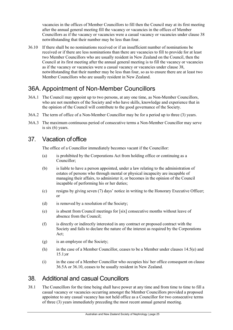vacancies in the offices of Member Councillors to fill then the Council may at its first meeting after the annual general meeting fill the vacancy or vacancies in the offices of Member Councillors as if the vacancy or vacancies were a casual vacancy or vacancies under clause 38 notwithstanding that their number may be less than four.

36.10 If there shall be no nominations received or if an insufficient number of nominations be received or if there are less nominations than there are vacancies to fill to provide for at least two Member Councillors who are usually resident in New Zealand on the Council, then the Council at its first meeting after the annual general meeting is to fill the vacancy or vacancies as if the vacancy or vacancies were a casual vacancy or vacancies under clause 38, notwithstanding that their number may be less than four, so as to ensure there are at least two Member Councillors who are usually resident in New Zealand.

# <span id="page-24-0"></span>36A. Appointment of Non-Member Councillors

- 36A.1 The Council may appoint up to two persons, at any one time, as Non-Member Councillors, who are not members of the Society and who have skills, knowledge and experience that in the opinion of the Council will contribute to the good governance of the Society.
- 36A.2 The term of office of a Non-Member Councillor may be for a period up to three (3) years.
- 36A.3 The maximum continuous period of consecutive terms a Non-Member Councillor may serve is six (6) years.

# <span id="page-24-1"></span>37. Vacation ofoffice

The office of a Councillor immediately becomes vacant if the Councillor:

- (a) is prohibited by the Corporations Act from holding office or continuing as a Councillor;
- (b) is liable to have a person appointed, under a law relating to the administration of estates of persons who through mental or physical incapacity are incapable of managing their affairs, to administer it, or becomes in the opinion of the Council incapable of performing his or her duties;
- (c) resigns by giving seven (7) days' notice in writing to the Honorary Executive Officer; or
- (d) is removed by a resolution of the Society;
- (e) is absent from Council meetings for [six] consecutive months without leave of absence from the Council;
- (f) is directly or indirectly interested in any contract or proposed contract with the Society and fails to declare the nature of the interest as required by the Corporations Act;
- <span id="page-24-3"></span>(g) is an employee of the Society;
- (h) in the case of a Member Councillor, ceases to be a Member under clauses [14.5\(e\) a](#page-13-2)nd [15.1;](#page-14-2)or
- (i) in the case of a Member Councillor who occupies his/ her office consequent on clause 36.5A or 36.10, ceases to be usually resident in New Zealand.

# <span id="page-24-2"></span>38. Additional and casual Councillors

38.1 The Councillors for the time being shall have power at any time and from time to time to fill a casual vacancy or vacancies occurring amongst the Member Councillors provided a proposed appointee to any casual vacancy has not held office as a Councillor for two consecutive terms of three (3) years immediately preceding the most recent annual general meeting.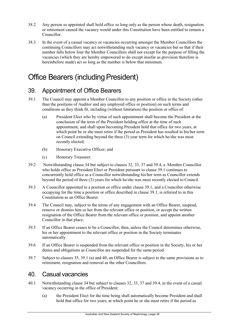- 38.2 Any person so appointed shall hold office so long only as the person whose death, resignation or retirement caused the vacancy would under this Constitution have been entitled to remain a Councillor.
- 38.3 In the event of a casual vacancy or vacancies occurring amongst the Member Councillors the continuing Councillors may act notwithstanding such vacancy or vacancies but so that if their number falls below four the Member Councillors shall not except for the purpose of filling the vacancies (which they are hereby empowered to do except insofar as provision therefore is hereinbefore made) act so long as the number is below that minimum.

# <span id="page-25-0"></span>Office Bearers (including President)

# <span id="page-25-1"></span>39. Appointment of Office Bearers

- <span id="page-25-3"></span>39.1 The Council may appoint a Member Councillor to any position or office in the Society (other than the positions of Auditor and any employed office or position) on such terms and conditions as they think fit, including (without limitation) the position or office of:
	- (a) President Elect who by virtue of such appointment shall become the President at the conclusion of the term of the President holding office at the time of such appointment, and shall upon becoming President hold that office for two years, at which point he or she must retire if the period as President has resulted in his/her term on Council extending beyond the three (3) year term for which he/she was most recently elected;
	- (b) Honorary Executive Officer; and
	- (c) Honorary Treasurer.
- 39.2 Notwithstanding clause 34 but subject to clauses 32, 33, 37 and 39.4, a Member Councillor who holds office as President Elect or President pursuant to clause 39.1 continues to concurrently hold office as a Councillor notwithstanding his/her term as Councillor extends beyond the period of three (3) years for which he/she was most recently elected to Council.
- 39.3 A Councillor appointed to a position or office under clause [39.1, a](#page-25-3)nd a Councillor otherwise occupying for the time a position or office described in clause [39.1,](#page-25-3) is referred to in this Constitution as an Office Bearer.
- 39.4 The Council may, subject to the terms of any engagement with an Office Bearer, suspend, remove or dismiss him or her from the relevant office or position, or accept the written resignation of the Office Bearer from the relevant office or position, and appoint another Councillor in that place.
- 39.5 If an Office Bearer ceases to be a Councillor, then, unless the Council determines otherwise, his or her appointment to the relevant office or position in the Society terminates automatically.
- 39.6 If an Office Bearer is suspended from the relevant office or position in the Society, his or her duties and obligations as Councillor are suspended for the same period.
- 39.7 Subject to clauses 35, 39.1 (a) and 40, an Office Bearer is subject to the same provisions as to retirement, resignation and removal as the other Councillors.

#### <span id="page-25-2"></span>40. Casual vacancies

- 40.1 Notwithstanding clause 34 but subject to clauses 32, 33, 37 and 39.4, in the event of a casual vacancy occurring in the office of President:
	- (a) the President Elect for the time being shall automatically become President and shall hold that office for two years, at which point he or she must retire if the period as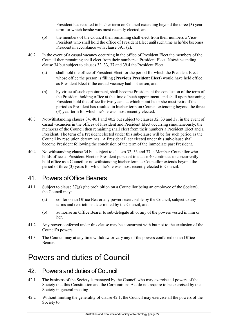President has resulted in his/her term on Council extending beyond the three (3) year term for which he/she was most recently elected; and

- (b) the members of the Council then remaining shall elect from their numbers a Vice-President who shall hold the office of President Elect until such time as he/she becomes President in accordance with clause 39.1 (a).
- 40.2 In the event of a casual vacancy occurring in the office of President Elect the members of the Council then remaining shall elect from their numbers a President Elect. Notwithstanding clause 34 but subject to clauses 32, 33, 37 and 39.4 the President Elect:
	- (a) shall hold the office of President Elect for the period for which the President Elect whose office the person is filling (**Previous President Elect**) would have held office as President Elect if the casual vacancy had not arisen; and
	- (b) by virtue of such appointment, shall become President at the conclusion of the term of the President holding office at the time of such appointment, and shall upon becoming President hold that office for two years, at which point he or she must retire if the period as President has resulted in his/her term on Council extending beyond the three (3) year term for which he/she was most recently elected.
- 40.3 Notwithstanding clauses 34, 40.1 and 40.2 but subject to clauses 32, 33 and 37, in the event of casual vacancies in the offices of President and President Elect occurring simultaneously, the members of the Council then remaining shall elect from their numbers a President Elect and a President. The term of a President elected under this sub-clause will be for such period as the Council by resolution determines. A President Elect elected under this sub-clause shall become President following the conclusion of the term of the immediate past President.
- 40.4 Notwithstanding clause 34 but subject to clauses 32, 33 and 37, a Member Councillor who holds office as President Elect or President pursuant to clause 40 continues to concurrently hold office as a Councillor notwithstanding his/her term as Councillor extends beyond the period of three (3) years for which he/she was most recently elected to Council.

#### <span id="page-26-0"></span>41. Powers ofOffice Bearers

- 41.1 Subject to clause  $37(g)$  (the prohibition on a Councillor being an employee of the Society), the Council may:
	- (a) confer on an Office Bearer any powers exercisable by the Council, subject to any terms and restrictions determined by the Council; and
	- (b) authorise an Office Bearer to sub-delegate all or any of the powers vested in him or her.
- 41.2 Any power conferred under this clause may be concurrent with but not to the exclusion of the Council's powers.
- 41.3 The Council may at any time withdraw or vary any of the powers conferred on an Office Bearer.

# <span id="page-26-1"></span>Powers and duties of Council

### <span id="page-26-2"></span>42. Powers and duties of Council

- <span id="page-26-3"></span>42.1 The business of the Society is managed by the Council who may exercise all powers of the Society that this Constitution and the Corporations Act do not require to be exercised by the Society in general meeting.
- 42.2 Without limiting the generality of clause [42.1,](#page-26-3) the Council may exercise all the powers of the Society to: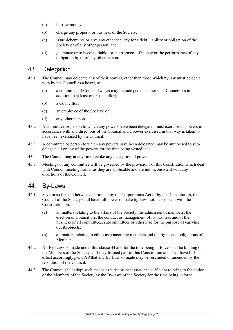- (a) borrow money;
- (b) charge any property or business of the Society;
- (c) issue debentures or give any other security for a debt, liability or obligation of the Society or of any other person; and
- (d) guarantee or to become liable for the payment of money or the performance of any obligation by or of any other person.

#### <span id="page-27-0"></span>43. Delegation

- 43.1 The Council may delegate any of their powers, other than those which by law must be dealt with by the Council as a board, to:
	- (a) a committee of Council (which may include persons other than Councillors in addition to at least one Councillor);
	- (b) a Councillor;
	- (c) an employee of the Society; or
	- (d) any other person.
- 43.2 A committee or person to which any powers have been delegated must exercise its powers in accordance with any directions of the Council and a power exercised in that way is taken to have been exercised by the Council.
- 43.3 A committee or person to which any powers have been delegated may be authorised to subdelegate all or any of the powers for the time being vested in it.
- 43.4 The Council may at any time revoke any delegation of power.
- 43.5 Meetings of any committee will be governed by the provisions of this Constitution which deal with Council meetings so far as they are applicable and are not inconsistent with any directions of the Council.

#### <span id="page-27-1"></span>44. By-Laws

- 44.1 Save in so far as otherwise determined by the Corporations Act or by this Constitution, the Council of the Society shall have full power to make by-laws not inconsistent with the Constitution on:
	- (a) all matters relating to the affairs of the Society, the admission of members, the election of Councillors, the conduct or management of its business and of the business of all committees, subcommittees or otherwise for the purpose of carrying out its objects;
	- (b) all matters relating to ethics as concerning members and the rights and obligations of Members.
- 44.2 All By-Laws so made under this claus[e 44 a](#page-27-1)nd for the time being in force shall be binding on the Members of the Society as if they formed part of this Constitution and shall have full effect accordingly *provided* that any By-Law so made may be rescinded or amended by the resolution of the Council.
- 44.3 The Council shall adopt such means as it deems necessary and sufficient to bring to the notice of the Members of the Society by the By-laws of the Society for the time being in force.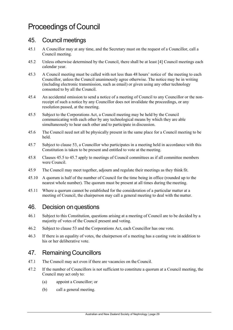# <span id="page-28-0"></span>Proceedings of Council

### <span id="page-28-1"></span>45. Council meetings

- 45.1 A Councillor may at any time, and the Secretary must on the request of a Councillor, call a Council meeting.
- 45.2 Unless otherwise determined by the Council, there shall be at least [4] Council meetings each calendar year.
- 45.3 A Council meeting must be called with not less than 48 hours' notice of the meeting to each Councillor, unless the Council unanimously agree otherwise. The notice may be in writing (including electronic transmission, such as email) or given using any other technology consented to by all the Council.
- 45.4 An accidental omission to send a notice of a meeting of Council to any Councillor or the nonreceipt of such a notice by any Councillor does not invalidate the proceedings, or any resolution passed, at the meeting.
- <span id="page-28-4"></span>45.5 Subject to the Corporations Act, a Council meeting may be held by the Council communicating with each other by any technological means by which they are able simultaneously to hear each other and to participate in discussion.
- 45.6 The Council need not all be physically present in the same place for a Council meeting to be held.
- <span id="page-28-5"></span>45.7 Subject to clause [53, a](#page-30-2) Councillor who participates in a meeting held in accordance with this Constitution is taken to be present and entitled to vote at the meeting.
- 45.8 Clauses [45.5 t](#page-28-4)o [45.7 a](#page-28-5)pply to meetings of Council committees as if all committee members were Council.
- 45.9 The Council may meet together, adjourn and regulate their meetings as they think fit.
- 45.10 A quorum is half of the number of Council for the time being in office (rounded up to the nearest whole number). The quorum must be present at all times during the meeting.
- 45.11 Where a quorum cannot be established for the consideration of a particular matter at a meeting of Council, the chairperson may call a general meeting to deal with the matter.

#### <span id="page-28-2"></span>46. Decision onquestions

- 46.1 Subject to this Constitution, questions arising at a meeting of Council are to be decided by a majority of votes of the Council present and voting.
- 46.2 Subject to clause [53 a](#page-30-2)nd the Corporations Act, each Councillor has one vote.
- 46.3 If there is an equality of votes, the chairperson of a meeting has a casting vote in addition to his or her deliberative vote.

### <span id="page-28-3"></span>47. Remaining Councillors

- 47.1 The Council may act even if there are vacancies on the Council.
- 47.2 If the number of Councillors is not sufficient to constitute a quorum at a Council meeting, the Council may act only to:
	- (a) appoint a Councillor; or
	- (b) call a general meeting.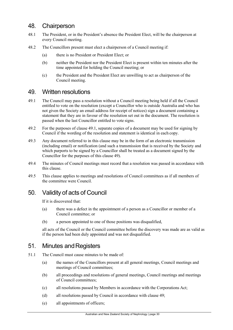# <span id="page-29-0"></span>48. Chairperson

- 48.1 The President, or in the President's absence the President Elect, will be the chairperson at every Council meeting.
- 48.2 The Councillors present must elect a chairperson of a Council meeting if:
	- (a) there is no President or President Elect; or
	- (b) neither the President nor the President Elect is present within ten minutes after the time appointed for holding the Council meeting; or
	- (c) the President and the President Elect are unwilling to act as chairperson of the Council meeting.

### <span id="page-29-1"></span>49. Written resolutions

- <span id="page-29-4"></span>49.1 The Council may pass a resolution without a Council meeting being held if all the Council entitled to vote on the resolution (except a Councillor who is outside Australia and who has not given the Society an email address for receipt of notices) sign a document containing a statement that they are in favour of the resolution set out in the document. The resolution is passed when the last Councillor entitled to vote signs.
- 49.2 For the purposes of clause [49.1, s](#page-29-4)eparate copies of a document may be used for signing by Council if the wording of the resolution and statement is identical in each copy.
- 49.3 Any document referred to in this clause may be in the form of an electronic transmission (including email) or notification (and such a transmission that is received by the Society and which purports to be signed by a Councillor shall be treated as a document signed by the Councillor for the purposes of this clause [49\)](#page-29-1).
- 49.4 The minutes of Council meetings must record that a resolution was passed in accordance with this clause.
- 49.5 This clause applies to meetings and resolutions of Council committees as if all members of the committee were Council.

# <span id="page-29-2"></span>50. Validity of acts of Council

If it is discovered that:

- (a) there was a defect in the appointment of a person as a Councillor or member of a Council committee; or
- (b) a person appointed to one of those positions was disqualified,

all acts of the Council or the Council committee before the discovery was made are as valid as if the person had been duly appointed and was not disqualified.

### <span id="page-29-3"></span>51. Minutes and Registers

- 51.1 The Council must cause minutes to be made of:
	- (a) the names of the Councillors present at all general meetings, Council meetings and meetings of Council committees;
	- (b) all proceedings and resolutions of general meetings, Council meetings and meetings of Council committees;
	- (c) all resolutions passed by Members in accordance with the Corporations Act;
	- (d) all resolutions passed by Council in accordance with clause [49;](#page-29-1)
	- (e) all appointments of officers;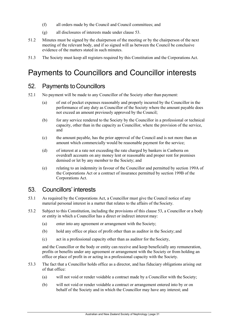- (f) all orders made by the Council and Council committees; and
- (g) all disclosures of interests made under clause [53.](#page-30-2)
- 51.2 Minutes must be signed by the chairperson of the meeting or by the chairperson of the next meeting of the relevant body, and if so signed will as between the Council be conclusive evidence of the matters stated in such minutes.
- <span id="page-30-0"></span>51.3 The Society must keep all registers required by this Constitution and the Corporations Act.

# Payments to Councillors and Councillor interests

# <span id="page-30-1"></span>52. Payments toCouncillors

- 52.1 No payment will be made to any Councillor of the Society other than payment:
	- (a) of out of pocket expenses reasonably and properly incurred by the Councillor in the performance of any duty as Councillor of the Society where the amount payable does not exceed an amount previously approved by the Council;
	- (b) for any service rendered to the Society by the Councillor in a professional or technical capacity, other than in the capacity as Councillor, where the provision of the service, and
	- (c) the amount payable, has the prior approval of the Council and is not more than an amount which commercially would be reasonable payment for the service;
	- (d) of interest at a rate not exceeding the rate charged by bankers in Canberra on overdraft accounts on any money lent or reasonable and proper rent for premises demised or let by any member to the Society; and
	- (e) relating to an indemnity in favour of the Councillor and permitted by section 199A of the Corporations Act or a contract of insurance permitted by section 199B of the Corporations Act.

### <span id="page-30-2"></span>53. Councillors' interests

- 53.1 As required by the Corporations Act, a Councillor must give the Council notice of any material personal interest in a matter that relates to the affairs of the Society.
- 53.2 Subject to this Constitution, including the provisions of this clause [53,](#page-30-2) a Councillor or a body or entity in which a Councillor has a direct or indirect interest may:
	- (a) enter into any agreement or arrangement with the Society;
	- (b) hold any office or place of profit other than as auditor in the Society; and
	- (c) act in a professional capacity other than as auditor for the Society,

and the Councillor or the body or entity can receive and keep beneficially any remuneration, profits or benefits under any agreement or arrangement with the Society or from holding an office or place of profit in or acting in a professional capacity with the Society.

- 53.3 The fact that a Councillor holds office as a director, and has fiduciary obligations arising out of that office:
	- (a) will not void or render voidable a contract made by a Councillor with the Society;
	- (b) will not void or render voidable a contract or arrangement entered into by or on behalf of the Society and in which the Councillor may have any interest; and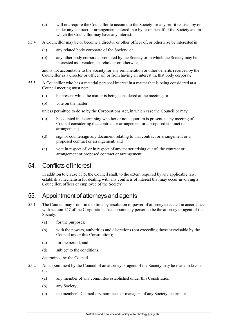- (c) will not require the Councillor to account to the Society for any profit realised by or under any contract or arrangement entered into by or on behalf of the Society and in which the Councillor may have any interest.
- 53.4 A Councillor may be or become a director or other officer of, or otherwise be interested in:
	- (a) any related body corporate of the Society; or
	- (b) any other body corporate promoted by the Society or in which the Society may be interested as a vendor, shareholder or otherwise,

and is not accountable to the Society for any remuneration or other benefits received by the Councillor as a director or officer of, or from having an interest in, that body corporate.

- <span id="page-31-2"></span>53.5 A Councillor who has a material personal interest in a matter that is being considered at a Council meeting must not:
	- (a) be present while the matter is being considered at the meeting; or
	- (b) vote on the matter,

unless permitted to do so by the Corporations Act, in which case the Councillor may:

- (c) be counted in determining whether or not a quorum is present at any meeting of Council considering that contract or arrangement or a proposed contract or arrangement;
- (d) sign or countersign any document relating to that contract or arrangement or a proposed contract or arrangement; and
- (e) vote in respect of, or in respect of any matter arising out of, the contract or arrangement or proposed contract or arrangement.

#### <span id="page-31-0"></span>54. Conflicts ofinterest

In addition to clause [53.5, t](#page-31-2)he Council shall, to the extent required by any applicable law, establish a mechanism for dealing with any conflicts of interest that may occur involving a Councillor, officer or employee of the Society.

#### <span id="page-31-1"></span>55. Appointment of attorneys and agents

- 55.1 The Council may from time to time by resolution or power of attorney executed in accordance with section 127 of the Corporations Act appoint any person to be the attorney or agent of the Society:
	- (a) for the purposes;
	- (b) with the powers, authorities and discretions (not exceeding those exercisable by the Council under this Constitution);
	- (c) for the period; and
	- (d) subject to the conditions,

determined by the Council.

- 55.2 An appointment by the Council of an attorney or agent of the Society may be made in favour of:
	- (a) any member of any committee established under this Constitution;
	- (b) any Society;
	- (c) the members, Councillors, nominees or managers of any Society or firm; or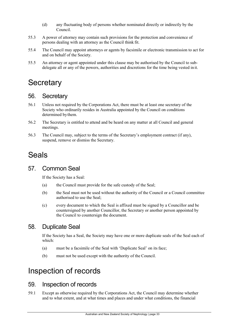- (d) any fluctuating body of persons whether nominated directly or indirectly by the Council.
- 55.3 A power of attorney may contain such provisions for the protection and convenience of persons dealing with an attorney as the Council think fit.
- 55.4 The Council may appoint attorneys or agents by facsimile or electronic transmission to act for and on behalf of the Society.
- 55.5 An attorney or agent appointed under this clause may be authorised by the Council to subdelegate all or any of the powers, authorities and discretions for the time being vested in it.

# <span id="page-32-0"></span>**Secretary**

#### <span id="page-32-1"></span>56. Secretary

- 56.1 Unless not required by the Corporations Act, there must be at least one secretary of the Society who ordinarily resides in Australia appointed by the Council on conditions determined bythem.
- 56.2 The Secretary is entitled to attend and be heard on any matter at all Council and general meetings.
- 56.3 The Council may, subject to the terms of the Secretary's employment contract (if any), suspend, remove or dismiss the Secretary.

# <span id="page-32-2"></span>Seals

### <span id="page-32-3"></span>57. Common Seal

If the Society has a Seal:

- (a) the Council must provide for the safe custody of the Seal;
- (b) the Seal must not be used without the authority of the Council or a Council committee authorised to use the Seal;
- (c) every document to which the Seal is affixed must be signed by a Councillor and be countersigned by another Councillor, the Secretary or another person appointed by the Council to countersign the document.

# <span id="page-32-4"></span>58. Duplicate Seal

If the Society has a Seal, the Society may have one or more duplicate seals of the Seal each of which:

- (a) must be a facsimile of the Seal with 'Duplicate Seal' on its face;
- (b) must not be used except with the authority of the Council.

# <span id="page-32-5"></span>Inspection of records

### <span id="page-32-6"></span>59. Inspection of records

59.1 Except as otherwise required by the Corporations Act, the Council may determine whether and to what extent, and at what times and places and under what conditions, the financial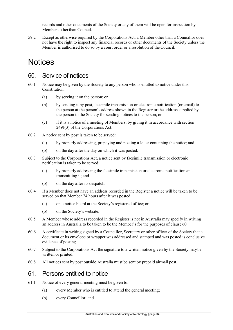records and other documents of the Society or any of them will be open for inspection by Members otherthan Council.

59.2 Except as otherwise required by the Corporations Act, a Member other than a Councillor does not have the right to inspect any financial records or other documents of the Society unless the Member is authorised to do so by a court order or a resolution of the Council.

# <span id="page-33-0"></span>**Notices**

#### <span id="page-33-1"></span>60. Service of notices

- 60.1 Notice may be given by the Society to any person who is entitled to notice under this Constitution:
	- (a) by serving it on the person; or
	- (b) by sending it by post, facsimile transmission or electronic notification (or email) to the person at the person's address shown in the Register or the address supplied by the person to the Society for sending notices to the person; or
	- (c) if it is a notice of a meeting of Members, by giving it in accordance with section 249J(3) of the Corporations Act.
- 60.2 A notice sent by post is taken to be served:
	- (a) by properly addressing, prepaying and posting a letter containing the notice; and
	- (b) on the day after the day on which it was posted.
- 60.3 Subject to the Corporations Act, a notice sent by facsimile transmission or electronic notification is taken to be served:
	- (a) by properly addressing the facsimile transmission or electronic notification and transmitting it; and
	- (b) on the day after its despatch.
- 60.4 If a Member does not have an address recorded in the Register a notice will be taken to be served on that Member 24 hours after it was posted:
	- (a) on a notice board at the Society's registered office; or
	- (b) on the Society's website.
- 60.5 A Member whose address recorded in the Register is not in Australia may specify in writing an address in Australia to be taken to be the Member's for the purposes of clause [60.](#page-33-1)
- 60.6 A certificate in writing signed by a Councillor, Secretary or other officer of the Society that a document or its envelope or wrapper was addressed and stamped and was posted is conclusive evidence of posting.
- 60.7 Subject to the Corporations Act the signature to a written notice given by the Society maybe written or printed.
- <span id="page-33-2"></span>60.8 All notices sent by post outside Australia must be sent by prepaid airmail post.

#### 61. Persons entitled to notice

- <span id="page-33-3"></span>61.1 Notice of every general meeting must be given to:
	- (a) every Member who is entitled to attend the general meeting;
	- (b) every Councillor; and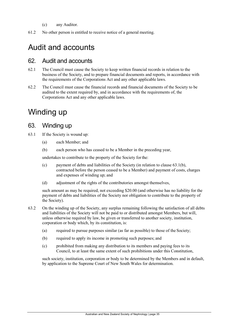- (c) any Auditor.
- <span id="page-34-0"></span>61.2 No other person is entitled to receive notice of a general meeting.

# Audit and accounts

#### <span id="page-34-1"></span>62. Audit and accounts

- 62.1 The Council must cause the Society to keep written financial records in relation to the business of the Society, and to prepare financial documents and reports, in accordance with the requirements of the Corporations Act and any other applicable laws.
- 62.2 The Council must cause the financial records and financial documents of the Society to be audited to the extent required by, and in accordance with the requirements of, the Corporations Act and any other applicable laws.

# <span id="page-34-2"></span>Winding up

#### <span id="page-34-3"></span>63. Winding up

- <span id="page-34-4"></span>63.1 If the Society is wound up:
	- (a) each Member; and
	- (b) each person who has ceased to be a Member in the preceding year,

undertakes to contribute to the property of the Society forthe:

- (c) payment of debts and liabilities of the Society (in relation to clause [63.1\(b\),](#page-34-4) contracted before the person ceased to be a Member) and payment of costs, charges and expenses of winding up; and
- (d) adjustment of the rights of the contributories amongst themselves,

such amount as may be required, not exceeding \$20.00 (and otherwise has no liability for the payment of debts and liabilities of the Society nor obligation to contribute to the property of the Society).

- 63.2 On the winding up of the Society, any surplus remaining following the satisfaction of all debts and liabilities of the Society will not be paid to or distributed amongst Members, but will, unless otherwise required by law, be given or transferred to another society, institution, corporation or body which, by its constitution, is:
	- (a) required to pursue purposes similar (as far as possible) to those of the Society;
	- (b) required to apply its income in promoting such purposes; and
	- (c) prohibited from making any distribution to its members and paying fees to its Council, to at least the same extent of such prohibitions under this Constitution,

such society, institution, corporation or body to be determined by the Members and in default, by application to the Supreme Court of New South Wales for determination.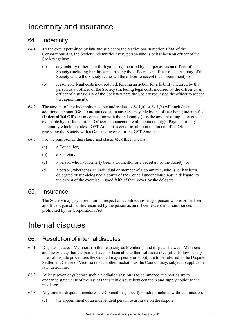# <span id="page-35-0"></span>Indemnity and insurance

# <span id="page-35-1"></span>64. Indemnity

- <span id="page-35-5"></span>64.1 To the extent permitted by law and subject to the restrictions in section 199A of the Corporations Act, the Society indemnifies every person who is or has been an officer of the Society against:
	- (a) any liability (other than for legal costs) incurred by that person as an officer of the Society (including liabilities incurred by the officer as an officer of a subsidiary of the Society where the Society requested the officer to accept that appointment); or
	- (b) reasonable legal costs incurred in defending an action for a liability incurred by that person as an officer of the Society (including legal costs incurred by the officer as an officer of a subsidiary of the Society where the Society requested the officer to accept that appointment).
- <span id="page-35-6"></span>64.2 The amount of any indemnity payable under clauses [64.1\(a\) o](#page-35-5)r [64.1\(b\) w](#page-35-6)ill include an additional amount (**GST Amount**) equal to any GST payable by the officer being indemnified (**Indemnified Officer**) in connection with the indemnity (less the amount of input tax credit claimable by the Indemnified Officer in connection with the indemnity). Payment of any indemnity which includes a GST Amount is conditional upon the Indemnified Officer providing the Society with a GST tax invoice for the GST Amount.
- 64.3 For the purposes of this clause and claus[e 65,](#page-35-2) **officer** means:
	- (a) a Councillor;
	- (b) a Secretary;
	- (c) a person who has formerly been a Councillor or a Secretary of the Society; or
	- (d) a person, whether as an individual or member of a committee, who is, or has been, delegated or sub-delegated a power of the Council under clause 43(the delegate) to the extent of the exercise in good faith of that power by the delegate.

#### <span id="page-35-2"></span>65. Insurance

The Society may pay a premium in respect of a contract insuring a person who is or has been an officer against liability incurred by the person as an officer, except in circumstances prohibited by the Corporations Act.

# <span id="page-35-3"></span>Internal disputes

### <span id="page-35-4"></span>66. Resolution of internal disputes

- 66.1 Disputes between Members (in their capacity as Members), and disputes between Members and the Society that the parties have not been able to themselves resolve (after following any internal dispute procedures the Council may specify or adopt) are to be referred to the Dispute Settlement Centre of Victoria or such other mediator as the Council may, subject to applicable law, determine.
- 66.2 At least seven days before such a mediation session is to commence, the parties are to exchange statements of the issues that are in dispute between them and supply copies to the mediator.
- 66.3 Any internal dispute procedures the Council may specify or adopt include, withoutlimitation:
	- (a) the appointment of an independent person to arbitrate on the dispute;